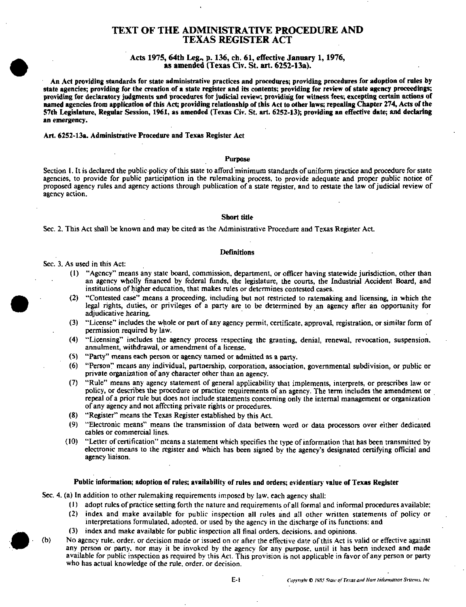# TEXT OF THE ADMINISTRATIVE PROCEDURE AND TEXAS REGISTER ACT

## Acts 1975, 64th Leg., p. 136, ch. 61, effective January 1, 1976, as amended (Texas Civ. St. art. 6252-13a).

An Act providing standards for state administrative practices and procedures; providing procedures for adoption of rules by state agencies; providing for the creation of a state register and its coatents; providing for review of state agency proceedings; providing for declaratory judgments and procedures for judicial review; providing for witness fees; excepting certain actions of named agencies from application of this Act; providing relationship of this Act to other laws; repealing Chapter 274, Acts of the 57th Legislature, Regular Session, 1961, as amended (Texas Civ. St. art. 6252-13); providing an effective date; and declaring an emergency.

## Art. 6252-13a. Administrative Procedure and Texas Register Act

## Purpose

Section 1. It is declared the public policy of this state to afford minimum standards of uniform practice and procedure for state agencies, to provide for public participation in the rulemaking process, to provide adequate and proper public notice of proposed agency rules and agency actions through publication of a state register, and to restate the law of judicial review of agency action.

## Short title

Sec. 2. This Act shall be known and may be cited as the Administrative Procedure and Texas Register Act.

#### Definitions

Sec. 3. As used in this Act:

- (1) "Agency" means any state board, commission, department, or officer having statewide jurisdiction, other than an agency wholly financed by federal funds, the legislature, the courts, the Industrial Accident Board, and institutions of higher education, that makes rules or determines contested cases.
- (2) "Contested case" means a proceeding, including but not restricted to ratemaking and licensing, in which the legal rights, duties, or privileges of a party are to be determined by an agency afler an opportunity for adjudicative hearing.
- (3) "License" includes the whole or part of any agency permit, certificate, approval, registration, or similar form of permission required by law.
- (4) "Licensing" includes the agency process respecting the granting, denial, renewal, revocation, suspension, annulment, withdrawal, or amendment of a license.
- (5) "Party" means each person or agency named or admitted as a party.
- (6) "Person" means any individual, partnership, corporation, association, governmental subdivision, or public or private organization of any character other than an agency.
- (7) "Rule" means any agency statement of general applicability that implements, interprets, or prescribes law or policy, or describes the procedure or practice requirements of an agency. The term includes the amendment or repeal of a prior rule but does not include statements concerning only the internal management or organization of any agency and not affeaing private rights or procedures.
- (8) "Register" means the Texas Register established by this Act.
- (9) "Electronic means" means the transmission of data between word or data processors over either dedicated cables or commercial lines.
- (10) \*\*Letter of certification" means a statement which specifies the type of information that has been transmitted by electronic means to the register and which has been signed by the agency's designated certifying official and agency liaison.

# Public information; adoption of rules; availability of rules and orders; evidentiary value of Texas Register

Sec. 4. (a) In addition to other rulemaking requirements imposed by law. each agency shall:

- (1) adopt rules of practice setting forth the nature and requirements of all formal and informal procedures available;
- (2) index and make available for public inspection all rules and all other written statements of policy or interpretations formulated, adopted, or used by the agency in the discharge of its functions: and
- (3) index and make available for public inspection alt final orders, decisions, and opinions.
- (b) No agency rule, order, or decision made or issued on or after the effective date of this Act is valid or effective against any person or party, nor may ii be invoked by the agency for any purpose, until it has been indexed and made available for public inspection as required by this Act. This provision is not applicable in favor of any person or party who has actual knowledge of the rule, order, or decision.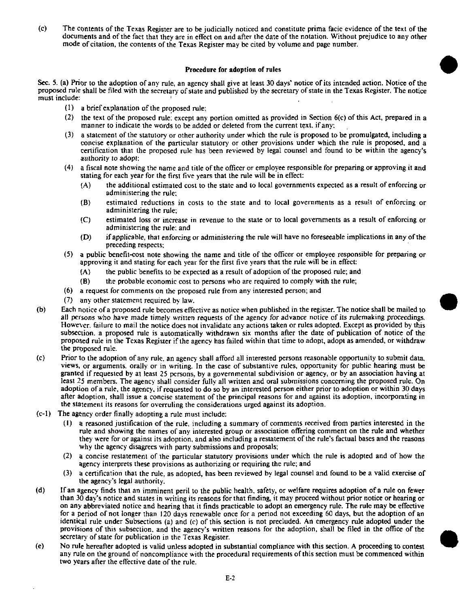(c) The contents of the Texas Register are to be judicially noticed and constitute prima facie evidence of the text of the documents and of the fact that they are in effect on and after the date of the notation. Without prejudice to any other mode of citation, the contents of the Texas Register may be cited by volume and page number.

## Procedure for adoption of rules

Sec. 5. (a) Prior to the adoption of any rule, an agency shall give at least 30 days' notice of its intended action. Notice of the proposed rule shall be filed with the secretary of state and published by the secretary of state in the Texas Register. The notice must include:

- (1) a brief explanation of the proposed rule:
- (2) the text of the proposed rule: except any portion omitted as provided in Section 6(c) of this Act, prepared in a manner to indicate the words to be added or deleted from the current text, if any:
- (3) a statement of the statutory or other authority under which the rule is proposed to be promulgated, including a concise explanation of the particular statutory or other provisions under which the rule is proposed, and a certification thai the proposed rule has been reviewed by legal counsel and found to be within the agency's authority to adopt;
- (4) a fiscal note showing the name and title of the officer or employee responsible for preparing or approving it and stating for each year for the first five years that the rule will be in effect:
	- (A) the additional estimated cost to the state and to local governments expected as a result of enforcing or administering the rule:
	- (B) estimated reductions in costs to the state and to local governments as a result of enforcing or administering the rule;
	- (C) estimated loss or increase in revenue to the state or to local governments as a result of enforcing or administering the rule: and
	- (D) if applicable, that enforcing or administering the rule will have no foreseeable implications in any of the preceding respects;
- (5) a public benefit-cost note showing the name and title of the officer or employee responsible for preparing or approving it and stating for each year for the first five years that the rule will be in effect:
	- (A) the public benefits to be expected as a result of adoption of the proposed rule; and
	- (B) the probable economic cost to persons who are required to comply with the rule;
- (6) a request for comments on the proposed rule from any interested person; and
- (7) any other statement required by law.
- (b) Each notice of a proposed rule becomes effective as notice when published in the register. The notice shall be mailed to all persons who have made timely written requests of the agency for advance notice of its rulemaking proceedings. However, failure to mail the notice does not invalidate any actions taken or rules adopted. Except as provided by this subsection, a proposed rule is automatically withdrawn six months after the date of publication of notice of the proposed rule in the Texas Register if the agency has failed within that time to adopt, adopt as amended, or withdraw the proposed rule.
- (c) Prior to the adoption of any rule, an agency' shall afford all interested persons reasonable opportunity to submit data, views, or arguments, orally or in writing. In the case of substantive rules, opportunity for public hearing must be granted if requested by at least 25 persons, by a governmental subdivision or agency, or by an association having at least 25 members. The agency shall consider fully all written and oral submissions concerning the proposed rule. On adoption of a rule, the agency, if requested to do so by an interested person either prior to adoption or within 30 days after adoption, shall issue a concise statement of the principal reasons for and against its adoption, incorporating in the statement its reasons for overruling the considerations urged against its adoption.
- (c-1) The agency order finally adopting a rule must include:
	- (1) a reasoned justification of the rule, including a summary of comments received from parties interested in the rule and showing the names of any interested group or association offering comment on the rule and whether they were for or againsi its adoption, and also including a restatement of the rule's factual bases and the reasons why the agency disagrees with party submissions and proposals;
	- (2) a concise restatement of the particular statutory provisions under which the rule is adopted and of how the agency interprets these provisions as authorizing or requiring the rule; and
	- (3) a certification that the rule, as adopted, has been reviewed by legal counsel and found to be a valid exercise of the agency's legal authority.
- (d) If an agency finds that an imminent peril to the public health, safety, or welfare requires adoption of a rule on fewer than 30 day's notice and states in writing its reasons for that finding, it may proceed without prior notice or hearing or on any abbreviated notice and hearing that it finds practicable to adopt an emergency rule. The rule may be effective for a period of not longer than 120 days renewable once for a period not exceeding 60 days, but the adoption of an identical rule under Subsections (a) and (c) of this section is not precluded. An emergency rule adopted under the provisions of this subsection, and the agency's written reasons for the adoption, shall be filed in the office of the secretary of state for publication in the Texas Register.
- (e) No rule hereafter adopted is valid unless adopted in substantial compliance with this section. A proceeding to contest any rule on the ground of noncompliance with the procedural requirements of this section must be commenced within two years after the effeciive date of the rule.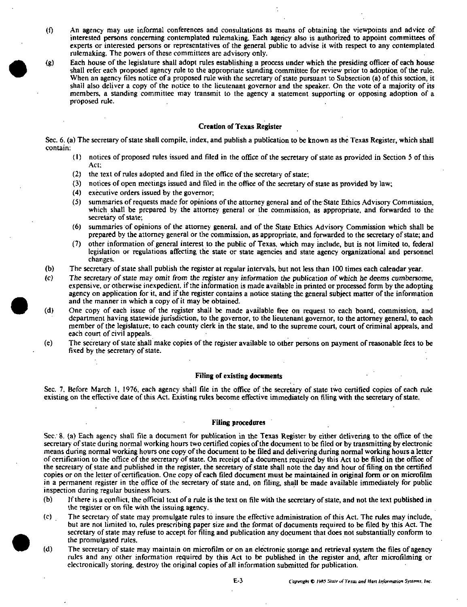- (0 An agency may use informal conferences and consultations as means of obtaining the viewpoints and advice of interested persons concerning contemplated rulemaking. Each agency also is authorized to appoint committees of experts or interested persons or representatives of the general public to advise it with respect to any contemplated rulemaking. The powers of these committees are advisory only.
- (g) Each house of the legislature shall adopt rules establishing a process under which the presiding officer of each house shall refer each proposed agency rule to the appropriate standing committee for review prior to adoption, of the rule. When an agency files notice of a proposed rule with the secretary of state pursuant to Subsection (a) of this section, it shall also deliver a copy of the notice to the lieutenant governor and the speaker. On the vote of a majority of its members, a standing committee may transmit to the agency a statement supporting or opposing adoption of a proposed rule.

## Creation of Texas Register

Sec. 6. (a) The secretary of state shall compile, index, and publish a publication to be known as the Texas Register, which shall contain:

- (1) notices of proposed rules issued and filed in the office of the secretary of state as provided in Section 5 of this Act;
- (2) the text of rules adopted and filed in the office of the secretary of state;
- (3) notices of open meetings issued and filed in the office of the secretary of state as provided by law;
- (4) executive orders issued by the governor;
- (5) summaries of requests made for opinions of the attorney general and of the State Ethics Advisory Commission, which shall be prepared by the attorney general or the commission, as appropriate, and forwarded to the secretary of state;
- (6) summaries of opinions of the attorney general, and of the State Ethics Advisory Commission which shall be prepared by the attorney general or the commission, as appropriate, and forwarded to the secretary of state; and
- (7) other information of general interest to the public of Texas, which may include, but is not limited to, federal legislation or regulations affecting the slate or state agencies and state agency organizational and personnel changes.
- (b) The secretary of state shall publish the register at regular intervals, but not less than 100 times each calendar year.
- (c) The secretary of state may omit from the register any information the publication of which he deems cumbersome, expensive, or otherwise inexpedient, if the information is made available in printed or processed form by the adopting agency on application for it, and if the register contains a notice stating the general subject matter of the information and the manner in which a copy of it may be obtained.
- (d) One copy of each issue of the register shall be made available free on request to each board, commission, and department having statewide jurisdiction, to the governor, to the lieutenant governor, to the attorney general, to each member of the legislature; to each county clerk in the state, and to the supreme court, court of criminal appeals, and each court of civil appeals.
- (e) The secretary of slate shall make copies of the register available to other persons on payment of reasonable fees to be fixed by ihe secretary of state.

## Filing of existing documents

Sec. 7. Before March 1, 1976, each agency shall file in the office of the secretary of slate two certified copies of each rule existing on the effeaive date of this Act. Existing rules become effective immediately on filing with the secretary of state.

### Filing procedures

Sec. 8. (a) Each agency shall file a document for publication in the Texas Register by either delivering to the office of the secretary of state during normal working hours two certified copies of the document to be filed or by transmitting by electronic means during normal working hours one copy of the document to be filed and delivering during normal working hours a letter of certification to the office of the secretary of state. On receipt of a document required by this Act to be filed in the office of the secretary of state and published in the register, the secretary of state shall note the day and hour of filing on the certified copies or on the letter of certification. One copy of each filed document must be maintained in original form or on microfilm in a permanent register in the office of the secretary of state and, on filing, shall be made available immediately for public Inspection during regular business hours.

- (b) If there is a conflict, the official text of a rule is the text on file with the secretary of state, and not the text published in the register or on file with the issuing agency.
- (c) The secretary of stale may promulgate rules to insure the effective administration of this Act. The rules may include, but are not limited to, rules prescribing paper size and the format of documents required to be filed by this Act. The secretary of state may refuse to accept for filing and publication any document that does not substantially conform to the promulgated rules.
- (d) The secretary of state may maintain on microfilm or on an electronic storage and retrieval system the files of agency rules and any other information required by this Act to be published in the register and, after microfilming or electronically storing, destroy the original copies of all Information submitted for publication.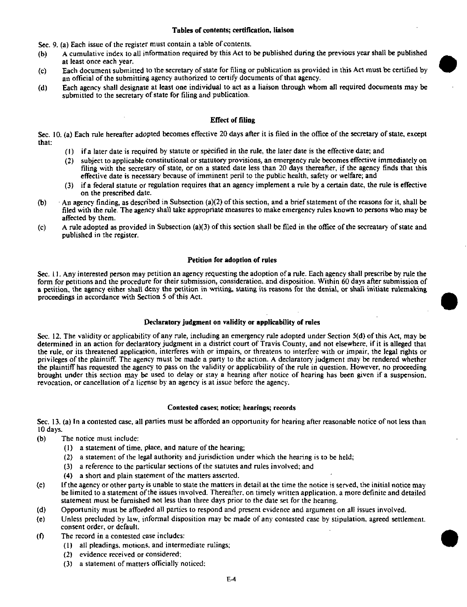## Tables of contents; certification, liaison

Sec. 9. (a) Each issue of the register must contain a table of contents.

- (b) A cumulative index to all information required by this Act to be published during the previous year shall be published at least once each year.
- (c) Each document submitted to the secretary of state for filing or publication as provided in this Act must be certified by an official of the submitting agency authorized to certify documents of that agency.
- (d) Each agency shall designate at least one individual to act as a liaison through whom all required documents may be submitted to the secretary of state for filing and publication.

# Effect of filing

Sec. 10. (a) Each rule hereafter adopted becomes effective 20 days after it is filed in the office of the secretary of state, except that:

- (1) if a later dale is required by statute or specified in the rule, the later date is the effective date; and
- (2) subject to applicable constitutional or statutory provisions, an emergency rule becomes effective immediately on filing with the secretary of state, or on a stated date less than 20 days thereafter, if the agency finds that this effective date is necessary because of imminent peril to the public health, safety or welfare; and
- (3) if a federal statute or regulation requires that an agency implement a rule by a certain date, the rule is cffecfive on the prescribed date.
- (b)  $\cdots$  An agency finding, as described in Subsection (a)(2) of this section, and a brief statement of the reasons for it, shall be filed with the rule. The agency shall take appropriate measures to make emergency rules known to persons who may be affected by ihem.
- (c) A rule adopted as provided in Subsection (a)(3) of this section shall be filed in the office of the secreatary of state and published in the register.

## Petition for adoption of rules

Sec. i 1. Any interested person may petition an agency requesting the adoption of a rule. Each agency shall prescribe by rule the form for petitions and the procedure for their submission, consideration, and disposition. Within 60 days after submission of a petition, the agency either shall deny the petition in writing, stating its reasons for the denial, or shall initiate rulemaking proceedings in accordance with Section 5 of this Act.

## Declaratory judgment on validity or applicability of rules

Sec. 12. The validity or applicability of any rule, including an emergency rule adopted under Section 5(d) of this Act, may be determined in an action for declaratory judgment in a district court of Travis County, and not elsewhere, if it is alleged thai the rule, or its threatened application, interferes with or impairs, or threatens to interfere with or impair, the legal rights or privileges of the plaintiff. The agency must be made a party to the action. A declaratory judgment may be rendered whether the plaintiff has requested the agency to pass on the validity or applicability of the rule in question. However, no proceeding brought under this section may be used to delay or stay a hearing after notice of hearing has been given if a suspension, revocation, or cancellation of a license by an agency is at issue before the agency.

## Contested cases; notice; hearings; records

Sec. 13. (a) In a contested case, all parties must be afforded an opportunity for hearing after reasonable notice of not less than 10 days.

- (b) The notice must include:
	- (1) a statement of time, place, and nature of the hearing;
	- (2) a statement of the legal authority and jurisdiction under which the hearing is to be held;
	- $(3)$  a reference to the particular sections of the statutes and rules involved; and
	- (4) a short and plain statement of the matters asserted.
- (c) If the agency or other party is unable to state the matters in detail at the time the notice is served, the initial notice may be limited to a statement of the issues involved. Thereafter, on timely written application, a more definite and detailed statement must be furnished not less than three days prior to the dale set for the hearing.
- (d) Opportunity must be afforded all parties to respond and present evidence and argument on all issues involved.
- (e) Unless precluded by law, informal disposition may be made of any contested case by stipulation, agreed settlement, consent order, or default.
- $(1)$  The record in a contested case includes:
	- (1) all pleadings, motions, and intermediate rulings;
	- (2) evidence received or considered;
	- (3) a statement of matters officially noticed;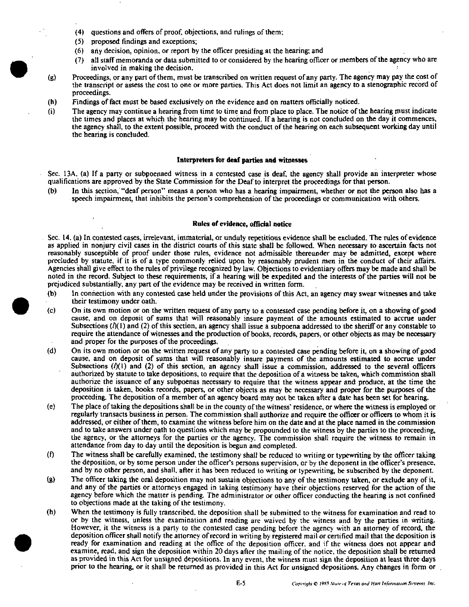- (4) questions and offers of proof, objections, and rulings of them;
- (5) proposed findings and exceptions;
- (6) any decision, opinion, or report by the officer presiding at the hearing; and
- (7) all staffmemoranda or data submitted to or considered by the hearingofficeror members of the agency who are involved in making the decision.
- (g) Proceedings, or any part of them, must be transcribed on written request of any party. The agency may pay the cost of the transcript or assess the cost to one or more parties. This Act does not limit an agency to a stenographic record of proceedings.
- (h) Findings of fact must be based exclusively on the evidence and on matters officially noticed.
- (i) The agency may continue a hearing from time to time and from place to place. The notice of the hearing must indicate the times and places at which the hearing may be continued. If a hearing is not concluded on the day it commences, the agency shall, to the extent possible, proceed with the conduct of the hearing on each subsequent working day until the hearing is concluded.

#### Interpreters for deaf parties and witnesses

Sec. 13A. (a) If a party or subpoenaed witness in a contested case is deaf, the agency shall provide an interpreter whose qualifications are approved by the State Commission for the Deaf to interpret the proceedings for that person.

(b) In this section, "deaf person" means a person who has a hearing impairment, whether or not the person also has a speech impairment, that inhibits the person's comprehension of the proceedings or communication with others.

# Rules of evidence, official notice

Sec. 14. (a) In contested cases, irrelevant, immaterial, or unduly repetitious evidence shall be excluded. The rules of evidence as applied in nonjury civil cases in the district courts of this state shall be followed. When necessary to ascertain facts not reasonably susceptible of proof under those rules, evidence not admissible thereunder may be admitted, except where precluded by statute. If it is of a type commonly relied upon by reasonably prudent men in the conduct of their affairs. Agencies shall give effect to the rules of privilege recognized by law. Objections to evidentiary offers may be made and shall be noted in the record. Subject to these requirements, if a hearing will be expedited and the interests of the parties will not be prejudiced substantially, any part of the evidence may be received in written form.

- (b) In connection with any contested case held under the provisions of this Act, an agency may swear witnesses and take their testimony under oath.
- (c) On its own motion or on the written request of any party to a contested case pending before it, on a showing of good cause, and on deposit of sums that will reasonably insure payment of the amounts estimated to accrue under Subsections  $(\frac{1}{1})$  and (2) of this section, an agency shall issue a subpoena addressed to the sheriff or any constable to require the attendance of witnesses and the production of books, records, papers, or other objects as may be necessary and proper for the purposes of the proceedings.
- (d) On its own motion or on the written request of any party to a contested case pending before it, on a showing of good cause, and on deposit of sums that will reasonably insure payment of the amounts estimated to accrue under Subsections  $(h(1))$  and (2) of this section, an agency shall issue a commission, addressed to the several officers authorized by statute to take depositions, to require that the deposition of a witness be taken, which commission shall authorize the issuance of any subpoenas necessary to require that the witness appear and produce, at the time the deposition is taken, books records, papers, or other objects as may be necessary and proper for the purposes of the proceeding. The deposition of a member of an agency board may not be taken after a date has been set for hearing.
- (e) The place of taking the deposifions shall be in the county of the witness' residence, or where the witness is employed or regularly transacts business in person. The commission shall authorize and require the officer or officers to whom it is addressed, or either of them, to examine the witness before him on the date and at the place named in the commission and to take answers under oath to questions which may be propounded to the witness by the parties to the proceeding, the agency, or the attorneys for the parties or the agency. The commission shall require the witness to remain in attendance from day to day until the deposition is begun and completed.
- (f) The witness shall be carefully examined, the testimony shall be reduced to writing or typewriting by the officer taking the deposition, or by some person under the officer's persons supervision, or by the deponent in the officer's presence, and by no other person, and shall, after it has been reduced to writing or typewriting, be subscribed by the deponent.
- (g) The officer taking the oral deposition may not sustain objections to any of the testimony taken, or exclude any of it, and any of the parties or attorneys engaged in taking testimony have their objections reserved for the action of the agency before which the matter is pending. The administrator or other officer conducting the hearing is not confined to objections made at the taking of the testimony,
- (h) When the testimony is fully transcribed, the deposition shall be submitted to the witness for examination and read to or by the witness, unless the examination and reading are waived by the witness and by the parties in writing. However, It the witness is a party to the contested case pending before the agency with an attorney of record, the deposition officer shall notify the attorney of record in writing by registered mail or certified mail that the deposition is ready for examination and reading at the office of the deposition officer, and if the witness does not appear and examine, read, and sign the deposition within 20 days after the mailing of the notice, the deposition shall be returned as provided in this Act for unsigned depositions. In any event, the witness must sign the deposition at least three days prior to the hearing, or It shall be returned as provided in this Act for unsigned depositions. Any changes in form or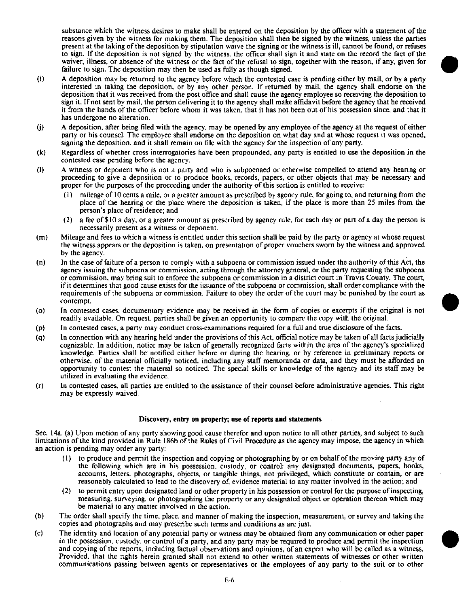substance which the witness desires to make shall be entered on the deposition by the officer with a statement of the reasons given by the witness for making them. The deposition shall then be signed by the witness, unless the parties present at the taking of the deposition by stipulation waive the signing or the witness is ill, cannot be found, or refuses to sign. If the deposition is not signed by the witness, the officer shall sign it and state on the record the fact of the waiver, illness, or absence of the witness or the fact of the refusal to sign, together with the reason, if any, given for failure to sign. The deposition may then be used as fully as though signed.

- (i) A deposition may be returned to the agency before which the contested case is pending either by mail, or by a party interested in taking the deposition, or by any other person. If returned by mail, the agency shall endorse on the deposition that it was received from the post office and shall cause the agency employee so receiving the deposition to sign it. If not sent by mail, the person delivering it to the agency shall make affidavit before the agency that he received it from the hands of the officer before whom it was taken, that it has not been out of his possession since, and that it has undergone no alteration.
- (j) A deposition, after being filed with the agency, may be opened by any employee of the agency at the request of either party or his counsel. The employee shall endorse on the deposition on what day and at whose request it was opened, signing the deposition, and it shall remain on file with the agency for the inspection of any party.
- (k) Regardless of whether cross interrogatories have been propounded, any party is entitled to use the deposition in the contested case pending before the agency.
- (1) A witness or deponent who is not a party and who is subpoenaed or otherwise compelled to attend any hearing or proceeding to give a deposition or to produce books, records, papers, or other objects that may be necessary and proper for the purposes of the proceeding under the authority of this section is entitled to receive:
	- $(1)$  mileage of 10 cents a mile, or a greater amount as prescribed by agency rule, for going to, and returning from the place of the hearing or the place where the deposition is taken, if the place is more than 25 miles from the person's place of residence; and
	- (2) a fee of \$10 a day. or a greater amount as prescribed by agency rule, for each day or part of a day the person is necessarily present as a witness or deponent.
- (m) Mileage and fees to which a witness is entitled under this section shall be paid by the party or agency at whose request the witness appears or the deposition is taken, on presentation of proper vouchers sworn by the witness and approved by the agency.
- (n) In the case of failure of a person to comply with a subpoena or commission issued under the authority of this Act, the agency issuing the subpoena or commission, acting through the attorney general, or the party requesting the subpoena or commission, may bring suit to enforce the subpoena or commission in a district court in Travis County. The court, if it determines that good cause exists for the issuance of the subpoena or commission, shall order compliance with the requirements of the subpoena or commission. Failure to obey the order of the court may be punished by the court as contempt.
- (o) In contested cases, documentary evidence may be received in the form of copies or excerpts if the original is not readily available. On request, parties shall be given an opportunity to compare the copy with the original.
- (p) In contested cases, a party may conduct cross-examinations required for a full and true disclosure of the facts.
- (q) In connection with any hearing held under the provisions of this Act, official notice may be taken of all facts judicially cognizable. In addition, notice may be taken of generally recognized facts within the area of the agency's specialized knowledge. Parties shall be' notified either before or during the hearing, or by reference in preliminary reports or otherwise, of the material officially noticed, including any staff memoranda or data, and they must be afforded an opportunity to contest the material so noticed. The special skills or knowledge of the agency and its staff may be utilized in evaluating the evidence.
- (r) In contested cases, all parties are entitled to the assistance of their counsel before administrative agencies. This right may be expressly waived.

## Discovery, entry on property; use of reports and statements

Sec. 14a. (a) Upon motion of any party showing good cause therefor and upon notice to all other parties, and subject to such limitations of the kind provided in Rule 186b of the Rules of Civil Procedure as the agency may impose, the agency in which an action is pending may order any party:

- (1) to produce and permit the inspection and copying or photographing by or on behalf of the moving party any of the following which are in his possession, custody, or control: any designated documents, papers, books, accounts, letters, photographs, objects, or tangible things, not privileged, which constitute or contain, or are reasonably calculated to lead to the discovery of, evidence material to any matter involved in the action; and
- (2) to permit entry upon designated land or other property in his possession or control for the purpose of inspecting, measuring, surveying, or photographing the property or any designated object or operation thereon which may be material to any matter involved in the action.
- (b) The order shall specify the time, place, and manner of making the inspection, measurement, or survey and taking the copies and photographs and may prescribe such terms and conditions as are just.
- (c) The identity and location of any potential party or witness may be obtained from any communication or other paper in the possession, custody, or control of a party, and any party may be required to produce and permit the inspection and copying of the reports, including factual observations and opinions, of an expert who will be called as a witness. Provided, that the rights herein granted shall not extend to other written statements of witnesses or other written communications passing between agents or representatives or the employees of any party to the suit or to other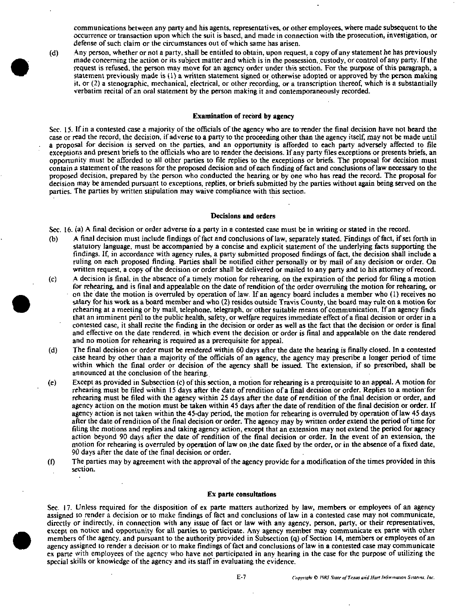communications between any party and his agents, representatives, or other employees, where made subsequent to the occurrence or transaction upon which the suit is based, and made in connection with the prosecution, investigation, or defense of such claim or the circumstances out of which same has arisen,

 $(d)$  Any person, whether or not a party, shall be entitled to obtain, upon request, a copy of any statement he has previously made concerning the action or Its subject matter and which is in the possession, custody, or control of any party. If the request is refused, the person may move for an agency order under thiis section. For the purpose of this paragraph, a statement previously made is  $(1)$  a written statement signed or otherwise adopted or approved by the person making it. or (2) a stenographic, mechanical, electrical, or other recording, or a transcription thereof, which is a substantially verbatim recital of an oral statement by the person making it and contempwraneously recorded.

## Examination of record by agency

Sec. 15. If in a contested case a majority of the officials of the agency who are to render the final decision have not heard the case or read the record, the decision, if adverse to a party to the proceeding other than the agency itself, may not be made until a proposal for decision is served on the parties, and an opportunity is afforded to each party adversely affected to file exceptions and present briefs to the officials who are to render the decisions. If any party files exceptions or presents briefs, an opportunity must be afforded to all other parties to file replies to the exceptions or briefs. The proposal for decision must contain a statement of the reasons for the proposed decision and of each finding of fact and conclusions of law necessary to the proposed decision, prepared by the person who conducted the hearing or by one who has read the record. The proposal for decision may be amended pursuant to exceptions, replies, or briefs submitted by the parties without again being served on the parties. The parties by written stipulation may waive compliance with this section.

#### Decisions and orders

Sec. 16. (a) A final decision or order adverse to a party in a contested case must be in writing or stated in the record.

- (b) A final decision must include findings of fact and conclusions of law, separately stated. Findings of fact, if set forth in statutory language, must be accompanied by a concise and explicit statement of the underlying facts supporting the findings. If, in accordance with agency rules, a party submitted proposed findings of fact, the decision shall include a ruling on each proposed finding. Parties shall be notified either personally or by mail of any decision or order. On written request, a copy of the decision or order shall be delivered or mailed to any party and to his attorney of record.
- (c) A decision is final, in the absence of a timely motion for rehearing, on the expiration of the period for filing a motion for rehearing, and is final and appealable on the date of rendition of the order overruling the motion for rehearing, or on the date the motion is overruled by operation of law. If an agency board includes a member who (1) receives no salary for his work as a board member and who (2) resides outside Travis County, the board may rule on a motion for rehearing at a meeting or by mail, telephone, telegraph, or other suitable means of communication. If an agency finds that an imminent peril to the public health, safety, or welfare requires immediate effect of a final decision or order in a contested case, it shall recite the finding in the decision or order as well as the fact that the decision or order is final and effeciive on the date rendered, in which event the decision or order is final and appealable on the date rendered and no motion for rehearing is required as a prerequisite for appeal.
- (d) The final decision or order must be rendered within 60 days after the date the hearing is finally closed. In a contested case heard by other than a majority of the officials of an agency, the agency may prescribe a longer period of time within which the final order or decision of the agency shall be issued. The extension, if so prescribed, shall be announced at the conclusion of the hearing.
- $(e)$  Except as provided in Subsection  $(e)$  of this section, a motion for rehearing is a prerequisite to an appeal. A motion for rehearing must be filed within 15 days after the date of rendition of a final decision or order. Replies to a motion for rehearing must be filed with the agency within 25 days after the date of rendition of the final decision or order, and agency action on the motion must be taken within 45 days after the date of rendition of the final decision or order. If agency action is not taken within the 45-day period, the motion for rehearing is overruled by operation of law 45 days after the date of rendition of the final decision or order. The agency may by written order extend the period of time for filing the motions and replies and taking agency action, except that an extension may not extend the period for agency action beyond 90 days after the date of rendition of the final decision or order. In the event of an extension, the motion for rehearing is overruled by operation of law on the date fixed by the order, or in the absence of a fixed date, 90 days after the date of the final decision or order.
- (f) The parties may by agreement with the approval of the agency provide for a modification of the times provided in this section.

#### Ex parte consultations

Sec. 17. Unless required for the disposition of ex parte matters authorized by law, members or employees of an agency assigned to render a decision or to make findings of fact and conclusions of law in a contested case may not communicate, directly or indirectly, in connection with any issue of fact or law with any agency, person, party, or their representatives, except on notice and opportunity for all parties lo participate. Any agency member may communicate ex parte with other members of the agency, and pursuant to the authority provided in Subsection (q) of Section 14, members or employees of an agency assigned to render a decision or to make findings of fact and conclusions of law in a contested case may communicate ex parte vvith employees of the agency who have not participated in any hearing in the case for the purpose of utilizing the special skills or knowledge of the agency and its staff in evaluating the evidence.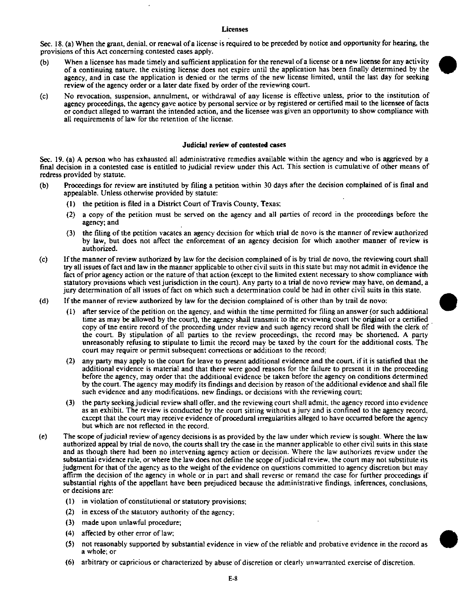## Licenses

Sec. 18. (a) When the grant, denial, or renewal of a license is required to be preceded by notice and opportunity for hearing, the provisions of this Act concerning contested cases apply.

- (b) When a licensee has made timely and sufficient application for the renewal of a license or a new license for any activity of a continuing nature, the existing license does not expire until the application has been finally determined by the agency, and in case the application is denied or the terms of the new license limited, until the last day for seeking review of the agency order or a later date fixed by order of the reviewing court.
- (c) No revocation, suspension, annulment, or withdrawal of any license is effective unless, prior to the institution of agency proceedings, the agency gave notice by personal service or by registered or certified mail to the licensee of facts or conduct alleged to warrant the intended action, and the licensee was given an opportunity to show compliance with all requirements of law for the retention of the license.

## Judicial review of contested cases

Sec. 19. (a) A person who has exhausted all administrative remedies available within the agency and who is aggrieved by a final decision in a contested case is entitled to judicial review under this Act. This section is cumulative of other means of redress provided by statute.

- (b) Proceedings for review are instituted by filing a petition within 30 days after the decision complained of is final and appealable. Unless otherwise provided by statute:
	- $(1)$  the petition is filed in a District Court of Travis County, Texas;
	- (2) a copy of the petition must be served on the agency and all parties of record in the proceedings before the agency; and
	- (3) the filing of the petition vacates an agency decision for which trial de novo is the manner of review authorized by law, but does not affect the enforcement of an agency decision for which another manner of review is authorized.
- (c) If the manner of review authorized by law for the decision complained of is by trial de novo, the reviewing court shall try all issues of fact and law in the manner applicable to other civil suits in this state but may not admit in evidence the fact of prior agency action or the nature of that action (except lo the limited extent necessary to show compliance with statutory provisions which vest jurisdiction in the court). Any party to a trial de novo review may have, on demand, a jury determination of all issues of fact on which such a determination could be had in other civil suits in this state.
- (d) If the manner of review authorized by law for the decision complained of is other than by trail de novo:
	- (1) after service of the petition on the agency, and within the time permitted for filing an answer (or such additional time as may be allowed by the court), the agency shall transmit to the reviewing court the original or a certified copy of tne entire record of the proceeding under review and such agency record shall be filed with the clerk of the court. By stipulation of all parties to the review proceedings, the record may be shortened. A party unreasonably refusing to stipulate to limit the record may be taxed by the court for the additional costs. The court may require or permit subsequent corrections or additions to the record;
	- (2) any party may apply to the court for leave to present additional evidence and the court, if it is satisfied that the additional evidence is material and that there were good reasons for the failure to present it in the proceeding before the agency, may order that the additional evidence be taken before the agency on conditions determined by the court. The agency may modify its findings and decision by reason of the additional evidence and shall file such evidence and any modifications, new findings, or decisions with the reviewing court;
	- (3) the party seeking judicial review shall offer, and the reviewing court shall admit, the agency record into evidence as an exhibit. The review is conducted by the court sitting without a jury and is confined to the agency record, except that the court may receive evidence of procedural irregularities alleged to have occurred before the agency but which are not refiected in the record.
- (e) The scope of judicial review of agency decisions is as provided by the law under which review is sought. Where the law authorized appeal by trial de novo, the courts shall try the case in the manner applicable to other civil suits in this state and as though there had been no intervening agency action or decision. Where the law authorizes review under the substantial evidence rule, or where the law does not define the scope of judicial review, the court may not substitute its judgment for that of the agency as lo the weight of the evidence on questions committed to agency discretion but may affirm the decision of the agency in whole or in part and shall reverse or remand the case for further proceedings if substantial rights of the appellant have been prejudiced because the administrative findings, inferences, conclusions, or decisions are:
	- (1) in violation of constitutional or statutory provisions;
	- (2) in excess of the statutory authority of the agency;
	- (3) made upon unlawful procedure;
	- (4) affected by other error of law;
	- (5) not reasonably supported by substantial evidence in view of the reliable and probative evidence in the record as a whole; or
	- (6) arbitrary or capricious or characterized by abuse of discretion or clearly unwarranted exercise of discretion.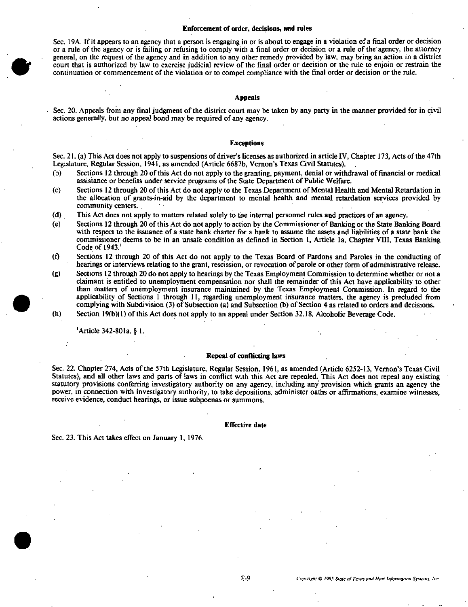## Enforcement of order, decisions, and rules

Sec. 19A. If it appears to an agency that a person is engaging in or is about to engage in a violation of a final order or decision or a rule of the agency or is failing or refusing to comply with a final order or decision or a rule of the agency, the attorney general, on the request of the agency and in addition to any other remedy provided by law, may bring an action in a district court that is authorized by law to exercise judicial review of the final order or decision or the rule lo enjoin or restrain the continuation or commencement of the violation or to compel compliance with the final order or decision or the rule.

#### Appeals

Sec. 20. Appeals from any final judgment of the district court may be taken by any party in the manner provided for in civil actions generally, but no appeal bond may be required of any agency.

#### Exceptions

Sec. 21. (a) This Act does not apply to suspensions of driver's licenses as authorized in article IV, Chapter 173, Acts of the 47th Legislature, Regular Session, 1941, as amended (Article 6687b, Vernon's Texas Civil Statutes).

- (b) Sections 12 through 20 of this Act do not apply to the granting, payment, denial or withdrawal of financial or medical assistance or benefits under service programs of the Stale Department of Public Welfare.
- (c) Sections 12 through 20 of this Act do not apply to the Texas Department of Mental Health and Mental Retardation in the allocation of grants-in-aid by the department lo mental health and mental retardation services provided by community centers. .
- (d) This Act does not apply to matters related solely to the internal personnel rules and practices of an agency.
- (e) Sections 12 through 20 of this Act do not apply to action by the Commissioner of Banking or the State Banking Board with respect to the issuance of a state bank charter for a bank to assume the assets and liabilities of a state bank the commissioner deems to be in an unsafe condition as defined in Section 1, Article la. Chapter VIII, Texas Banking Code of 1943.'
- (0 Sections 12 through 20 of this Act do not apply to the Texas Board of Pardons and Paroles in the conducting of hearings or interviews relating to the grant, rescission, or revocation of parole or other form of administrative release.
- (g) Sections 12 through 20 do not apply lo hearings by the Texas Employment Commission lo determine whether or not a claimant is entitled to unemployment compensation nor shall the remainder of this Act have applicability to other than matters of unemployment insurance maintained by the Texas Employment Commission. In regard lo tbe applicability of Sections 1 through 11, regarding unemployment insurance matters, the agency is precluded from complying with Subdivision (3) of Subsection (a) and Subsection (b) of Section 4 as related to orders and decisions. (h) Section 19(b)( 1) of this Act does not apply to an appeal under Section 32.18, Alcoholic Beverage Code.

#

'Article342-80la, § I.

#### Repeal of conflicting laws

Sec. 22. Chapter 274, Acts of the 57th Legislature, Regular Session, 1961, as amended (Article 6252-13, Vernon's Texas Civil Statutes), and all other laws and parts of laws in conflict with this Act are repealed. This Act does not repeal any existing statutory provisions conferring investigatory authority on any agency, including any provision which grants an agency the power, in connection with investigatory authority, to take depositions, administer oaths or affirmations, examine witnesses, receive evidence, conduct hearings, or issue subpoenas or summons.

#### Effective date

Sec. 23. This Act lakes effect on January 1, 1976.